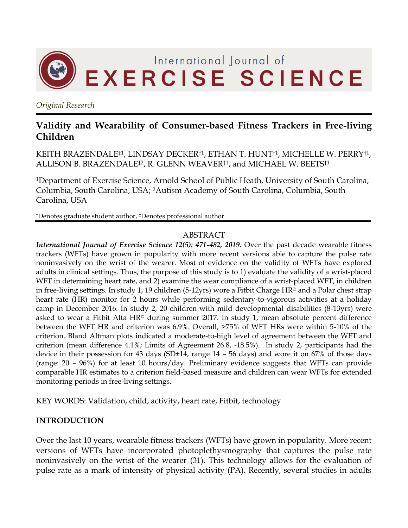

*Original Research*

# **Validity and Wearability of Consumer-based Fitness Trackers in Free-living Children**

KEITH BRAZENDALE‡1, LINDSAY DECKER†1, ETHAN T. HUNT†1, MICHELLE W. PERRY†1, ALLISON B. BRAZENDALE‡2, R. GLENN WEAVER‡1, and MICHAEL W. BEETS‡1

<sup>1</sup>Department of Exercise Science, Arnold School of Public Heath, University of South Carolina, Columbia, South Carolina, USA; 2Autism Academy of South Carolina, Columbia, South Carolina, USA

†Denotes graduate student author, ‡Denotes professional author

#### ABSTRACT

*International Journal of Exercise Science 12(5): 471-482, 2019.* Over the past decade wearable fitness trackers (WFTs) have grown in popularity with more recent versions able to capture the pulse rate noninvasively on the wrist of the wearer. Most of evidence on the validity of WFTs have explored adults in clinical settings. Thus, the purpose of this study is to 1) evaluate the validity of a wrist-placed WFT in determining heart rate, and 2) examine the wear compliance of a wrist-placed WFT, in children in free-living settings. In study 1, 19 children (5-12yrs) wore a Fitbit Charge HR© and a Polar chest strap heart rate (HR) monitor for 2 hours while performing sedentary-to-vigorous activities at a holiday camp in December 2016. In study 2, 20 children with mild developmental disabilities (8-13yrs) were asked to wear a Fitbit Alta HR© during summer 2017. In study 1, mean absolute percent difference between the WFT HR and criterion was 6.9%. Overall, >75% of WFT HRs were within 5-10% of the criterion. Bland Altman plots indicated a moderate-to-high level of agreement between the WFT and criterion (mean difference 4.1%; Limits of Agreement 26.8, -18.5%). In study 2, participants had the device in their possession for 43 days (SD±14, range 14 – 56 days) and wore it on 67% of those days (range: 20 – 96%) for at least 10 hours/day. Preliminary evidence suggests that WFTs can provide comparable HR estimates to a criterion field-based measure and children can wear WFTs for extended monitoring periods in free-living settings.

KEY WORDS: Validation, child, activity, heart rate, Fitbit, technology

# **INTRODUCTION**

Over the last 10 years, wearable fitness trackers (WFTs) have grown in popularity. More recent versions of WFTs have incorporated photoplethysmography that captures the pulse rate noninvasively on the wrist of the wearer [\(31\)](#page-11-0). This technology allows for the evaluation of pulse rate as a mark of intensity of physical activity (PA). Recently, several studies in adults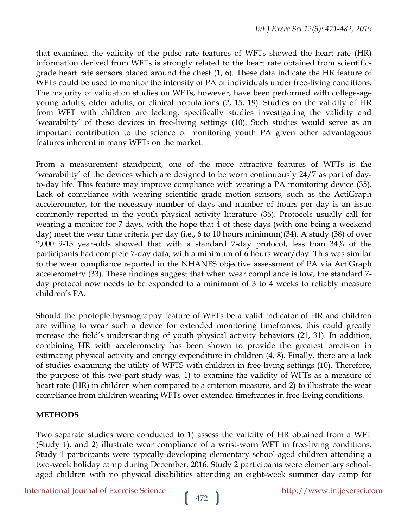that examined the validity of the pulse rate features of WFTs showed the heart rate (HR) information derived from WFTs is strongly related to the heart rate obtained from scientificgrade heart rate sensors placed around the chest [\(1,](#page-9-0) [6\)](#page-9-1). These data indicate the HR feature of WFTs could be used to monitor the intensity of PA of individuals under free-living conditions. The majority of validation studies on WFTs, however, have been performed with college-age young adults, older adults, or clinical populations [\(2,](#page-9-2) [15,](#page-10-0) [19\)](#page-10-1). Studies on the validity of HR from WFT with children are lacking, specifically studies investigating the validity and 'wearability' of these devices in free-living settings [\(10\)](#page-9-3). Such studies would serve as an important contribution to the science of monitoring youth PA given other advantageous features inherent in many WFTs on the market.

From a measurement standpoint, one of the more attractive features of WFTs is the 'wearability' of the devices which are designed to be worn continuously 24/7 as part of dayto-day life. This feature may improve compliance with wearing a PA monitoring device [\(35\)](#page-11-1). Lack of compliance with wearing scientific grade motion sensors, such as the ActiGraph accelerometer, for the necessary number of days and number of hours per day is an issue commonly reported in the youth physical activity literature [\(36\)](#page-11-2). Protocols usually call for wearing a monitor for 7 days, with the hope that 4 of these days (with one being a weekend day) meet the wear time criteria per day (i.e., 6 to 10 hours minimum)[\(34\)](#page-11-3). A study [\(38\)](#page-11-4) of over 2,000 9-15 year-olds showed that with a standard 7-day protocol, less than 34% of the participants had complete 7-day data, with a minimum of 6 hours wear/day. This was similar to the wear compliance reported in the NHANES objective assessment of PA via ActiGraph accelerometry [\(33\)](#page-11-5). These findings suggest that when wear compliance is low, the standard 7 day protocol now needs to be expanded to a minimum of 3 to 4 weeks to reliably measure children's PA.

Should the photoplethysmography feature of WFTs be a valid indicator of HR and children are willing to wear such a device for extended monitoring timeframes, this could greatly increase the field's understanding of youth physical activity behaviors [\(21,](#page-10-2) [31\)](#page-11-0). In addition, combining HR with accelerometry has been shown to provide the greatest precision in estimating physical activity and energy expenditure in children [\(4,](#page-9-4) [8\)](#page-9-5). Finally, there are a lack of studies examining the utility of WFTS with children in free-living settings [\(10\)](#page-9-3). Therefore, the purpose of this two-part study was, 1) to examine the validity of WFTs as a measure of heart rate (HR) in children when compared to a criterion measure, and 2) to illustrate the wear compliance from children wearing WFTs over extended timeframes in free-living conditions.

# **METHODS**

Two separate studies were conducted to 1) assess the validity of HR obtained from a WFT (Study 1), and 2) illustrate wear compliance of a wrist-worn WFT in free-living conditions. Study 1 participants were typically-developing elementary school-aged children attending a two-week holiday camp during December, 2016. Study 2 participants were elementary schoolaged children with no physical disabilities attending an eight-week summer day camp for

International Journal of Exercise Science http://www.intjexersci.com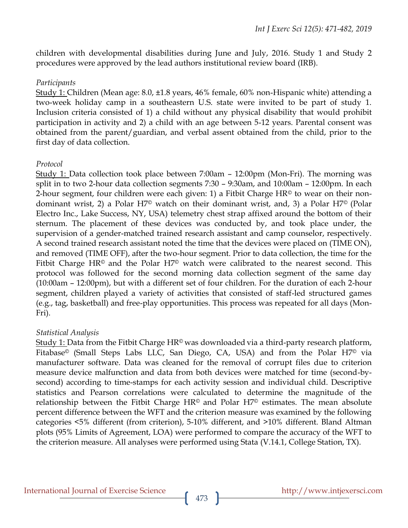children with developmental disabilities during June and July, 2016. Study 1 and Study 2 procedures were approved by the lead authors institutional review board (IRB).

### *Participants*

Study 1: Children (Mean age: 8.0, ±1.8 years, 46% female, 60% non-Hispanic white) attending a two-week holiday camp in a southeastern U.S. state were invited to be part of study 1. Inclusion criteria consisted of 1) a child without any physical disability that would prohibit participation in activity and 2) a child with an age between 5-12 years. Parental consent was obtained from the parent/guardian, and verbal assent obtained from the child, prior to the first day of data collection.

# *Protocol*

Study 1: Data collection took place between 7:00am – 12:00pm (Mon-Fri). The morning was split in to two 2-hour data collection segments 7:30 – 9:30am, and 10:00am – 12:00pm. In each 2-hour segment, four children were each given: 1) a Fitbit Charge  $HR<sup>°</sup>$  to wear on their nondominant wrist, 2) a Polar H7© watch on their dominant wrist, and, 3) a Polar H7© (Polar Electro Inc., Lake Success, NY, USA) telemetry chest strap affixed around the bottom of their sternum. The placement of these devices was conducted by, and took place under, the supervision of a gender-matched trained research assistant and camp counselor, respectively. A second trained research assistant noted the time that the devices were placed on (TIME ON), and removed (TIME OFF), after the two-hour segment. Prior to data collection, the time for the Fitbit Charge HR<sup>©</sup> and the Polar H7<sup>©</sup> watch were calibrated to the nearest second. This protocol was followed for the second morning data collection segment of the same day (10:00am – 12:00pm), but with a different set of four children. For the duration of each 2-hour segment, children played a variety of activities that consisted of staff-led structured games (e.g., tag, basketball) and free-play opportunities. This process was repeated for all days (Mon-Fri).

# *Statistical Analysis*

Study 1: Data from the Fitbit Charge  $HR^{\odot}$  was downloaded via a third-party research platform, Fitabase<sup>©</sup> (Small Steps Labs LLC, San Diego, CA, USA) and from the Polar H7<sup>©</sup> via manufacturer software. Data was cleaned for the removal of corrupt files due to criterion measure device malfunction and data from both devices were matched for time (second-bysecond) according to time-stamps for each activity session and individual child. Descriptive statistics and Pearson correlations were calculated to determine the magnitude of the relationship between the Fitbit Charge  $HR^{\odot}$  and Polar  $H7^{\odot}$  estimates. The mean absolute percent difference between the WFT and the criterion measure was examined by the following categories <5% different (from criterion), 5-10% different, and >10% different. Bland Altman plots (95% Limits of Agreement, LOA) were performed to compare the accuracy of the WFT to the criterion measure. All analyses were performed using Stata (V.14.1, College Station, TX).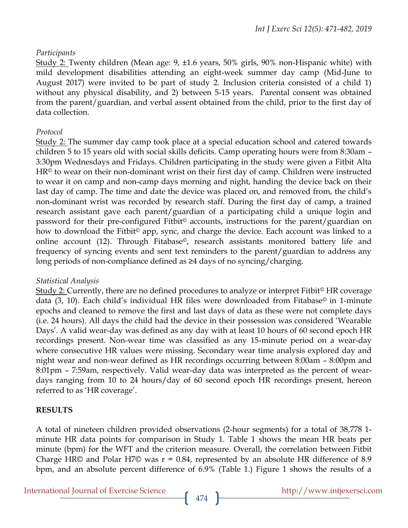### *Participants*

Study 2: Twenty children (Mean age: 9, ±1.6 years, 50% girls, 90% non-Hispanic white) with mild development disabilities attending an eight-week summer day camp (Mid-June to August 2017) were invited to be part of study 2. Inclusion criteria consisted of a child 1) without any physical disability, and 2) between 5-15 years. Parental consent was obtained from the parent/guardian, and verbal assent obtained from the child, prior to the first day of data collection.

### *Protocol*

Study 2: The summer day camp took place at a special education school and catered towards children 5 to 15 years old with social skills deficits. Camp operating hours were from 8:30am – 3:30pm Wednesdays and Fridays. Children participating in the study were given a Fitbit Alta  $HR<sup>°</sup>$  to wear on their non-dominant wrist on their first day of camp. Children were instructed to wear it on camp and non-camp days morning and night, handing the device back on their last day of camp. The time and date the device was placed on, and removed from, the child's non-dominant wrist was recorded by research staff. During the first day of camp, a trained research assistant gave each parent/guardian of a participating child a unique login and password for their pre-configured Fitbit© accounts, instructions for the parent/guardian on how to download the Fitbit<sup>®</sup> app, sync, and charge the device. Each account was linked to a online account [\(12\)](#page-10-3). Through Fitabase©, research assistants monitored battery life and frequency of syncing events and sent text reminders to the parent/guardian to address any long periods of non-compliance defined as ≥4 days of no syncing/charging.

# *Statistical Analysis*

Study 2: Currently, there are no defined procedures to analyze or interpret Fitbit© HR coverage data [\(3,](#page-9-6) [10\)](#page-9-3). Each child's individual HR files were downloaded from Fitabase© in 1-minute epochs and cleaned to remove the first and last days of data as these were not complete days (i.e. 24 hours). All days the child had the device in their possession was considered 'Wearable Days'. A valid wear-day was defined as any day with at least 10 hours of 60 second epoch HR recordings present. Non-wear time was classified as any 15-minute period on a wear-day where consecutive HR values were missing. Secondary wear time analysis explored day and night wear and non-wear defined as HR recordings occurring between 8:00am – 8:00pm and 8:01pm – 7:59am, respectively. Valid wear-day data was interpreted as the percent of weardays ranging from 10 to 24 hours/day of 60 second epoch HR recordings present, hereon referred to as 'HR coverage'.

#### **RESULTS**

A total of nineteen children provided observations (2-hour segments) for a total of 38,778 1 minute HR data points for comparison in Study 1. Table 1 shows the mean HR beats per minute (bpm) for the WFT and the criterion measure. Overall, the correlation between Fitbit Charge HR© and Polar H7© was  $r = 0.84$ , represented by an absolute HR difference of 8.9 bpm, and an absolute percent difference of 6.9% (Table 1.) Figure 1 shows the results of a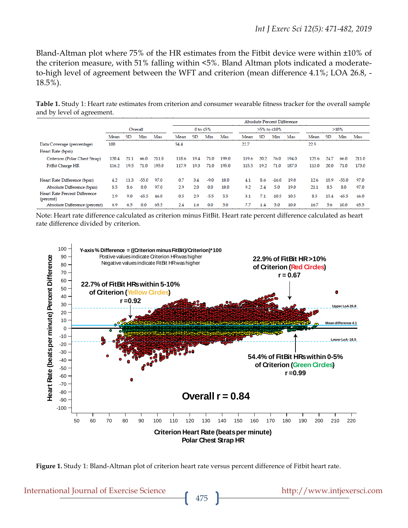Bland-Altman plot where 75% of the HR estimates from the Fitbit device were within ±10% of the criterion measure, with 51% falling within <5%. Bland Altman plots indicated a moderateto-high level of agreement between the WFT and criterion (mean difference 4.1%; LOA 26.8, - 18.5%).

**Table 1.** Study 1: Heart rate estimates from criterion and consumer wearable fitness tracker for the overall sample and by level of agreement.

|                                                                                                                                                                                                                                                                                                                                                                  |                                           |                                                                   |           |         |       |                 |           |        |       |             |           | <b>Absolute Percent Difference</b> |                                                        |       |           |         |       |
|------------------------------------------------------------------------------------------------------------------------------------------------------------------------------------------------------------------------------------------------------------------------------------------------------------------------------------------------------------------|-------------------------------------------|-------------------------------------------------------------------|-----------|---------|-------|-----------------|-----------|--------|-------|-------------|-----------|------------------------------------|--------------------------------------------------------|-------|-----------|---------|-------|
|                                                                                                                                                                                                                                                                                                                                                                  |                                           |                                                                   | Overall   |         |       | 0 to $\leq 5\%$ |           |        |       | >5% to ≤10% |           |                                    |                                                        | >10%  |           |         |       |
|                                                                                                                                                                                                                                                                                                                                                                  |                                           | Mean                                                              | <b>SD</b> | Min     | Max   | Mean            | <b>SD</b> | Min    | Max   | Mean        | <b>SD</b> | Min                                | Max                                                    | Mean  | <b>SD</b> | Min     | Max   |
| Data Coverage (percentage)                                                                                                                                                                                                                                                                                                                                       |                                           |                                                                   |           |         |       | 54.4            |           |        |       | 22.7        |           |                                    |                                                        | 22.9  |           |         |       |
| Heart Rate (bpm)                                                                                                                                                                                                                                                                                                                                                 |                                           |                                                                   |           |         |       |                 |           |        |       |             |           |                                    |                                                        |       |           |         |       |
| Criterion (Polar Chest Strap)                                                                                                                                                                                                                                                                                                                                    |                                           | 120.4                                                             | 21.1      | 66.0    | 211.0 | 118.6           | 19.4      | 71.0   | 199.0 | 119.6       | 20.2      | 76.0                               | 194.0                                                  | 125.6 | 24.7      | 66.0    | 211.0 |
| FitBit Charge HR                                                                                                                                                                                                                                                                                                                                                 |                                           | 116.2                                                             | 19.5      | 71.0    | 195.0 | 117.9           | 19.3      | 71.0   | 195.0 | 115.5       | 19.2      | 71.0                               | 187.0                                                  | 113.0 | 20.0      | 71.0    | 173.0 |
| Heart Rate Difference (bpm)                                                                                                                                                                                                                                                                                                                                      |                                           | 4.2                                                               | 11.3      | $-55.0$ | 97.0  | 0.7             | 3.4       | $-9.0$ | 10.0  | 4.1         | 8.6       | $-16.0$                            | 19.0                                                   | 12.6  | 18.9      | $-55.0$ | 97.0  |
| Absolute Difference (bpm)                                                                                                                                                                                                                                                                                                                                        |                                           | 8.5                                                               | 8.6       | 0.0     | 97.0  | 2.9             | 2.0       | 0.0    | 10.0  | 9.2         | 2.4       | 5.0                                | 19.0                                                   | 21.1  | 8.5       | 8.0     | 97.0  |
| Heart Rate Percent Difference<br>(percent)                                                                                                                                                                                                                                                                                                                       |                                           | 2.9                                                               | 9.0       | $-65.5$ | 46.0  | 0.5             | 2.9       | $-5.5$ | 5.5   | 3.1         | 7.1       | $-10.5$                            | 10.5                                                   | 8.5   | 15.4      | $-65.5$ | 46.0  |
| Absolute Difference (percent)                                                                                                                                                                                                                                                                                                                                    |                                           | 6.9                                                               | 6.5       | 0.0     | 65.5  | 2.4             | 1.6       | 0.0    | 5.0   | 7.7         | 1.4       | 5.0                                | 10.0                                                   | 16.7  | 5.6       | 10.0    | 65.5  |
| Note: Heart rate difference calculated as criterion minus FitBit. Heart rate percent difference calculated as heart<br>rate difference divided by criterion.<br>$100 -$<br>Y-axis % Difference = ((Criterion minus $FitBit$ )/Criterion)*100<br>90<br>Postive values indicate Criterion HR was higher<br>Negative values indicate FitBit HR was higher<br>$80 -$ |                                           |                                                                   |           |         |       |                 |           |        |       |             |           |                                    | 22.9% of FitBit HR > 10%<br>of Criterion (Red Circles) |       |           |         |       |
| ent Difference                                                                                                                                                                                                                                                                                                                                                   | $70 -$<br>60<br>50 <sub>1</sub><br>$40 -$ | 22.7% of FitBit HRs within 5-10%<br>of Criterion (Yellow Circles) |           |         |       |                 |           |        |       |             |           |                                    | $r = 0.67$                                             |       |           | ۰       |       |





475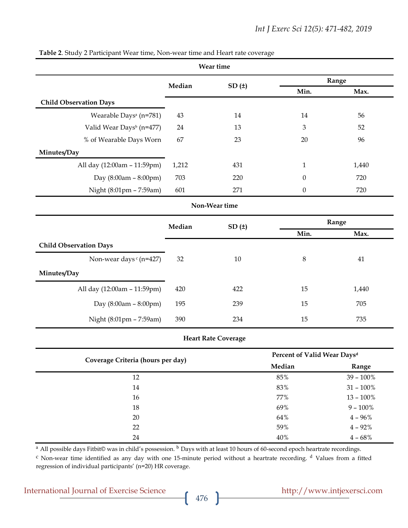|                                      |                                         | Wear time                  |                  |              |  |
|--------------------------------------|-----------------------------------------|----------------------------|------------------|--------------|--|
|                                      | Median                                  | SD(t)                      |                  | Range        |  |
|                                      |                                         |                            | Min.             | Max.         |  |
| <b>Child Observation Days</b>        |                                         |                            |                  |              |  |
| Wearable Days <sup>a</sup> (n=781)   | 43                                      | 14                         | 14               | 56           |  |
| Valid Wear Days <sup>b</sup> (n=477) | 24                                      | 13                         | 3                | 52           |  |
| % of Wearable Days Worn              | 67                                      | 23                         | 20               | 96           |  |
| Minutes/Day                          |                                         |                            |                  |              |  |
| All day (12:00am - 11:59pm)          | 1,212                                   | 431                        | 1                | 1,440        |  |
| Day (8:00am - 8:00pm)                | 703                                     | 220                        | $\theta$         | 720          |  |
| Night (8:01pm - 7:59am)              | 601                                     | 271                        | $\boldsymbol{0}$ | 720          |  |
|                                      |                                         | Non-Wear time              |                  |              |  |
|                                      | Median                                  | SD(t)                      | Range            |              |  |
|                                      |                                         |                            | Min.             | Max.         |  |
| <b>Child Observation Days</b>        |                                         |                            |                  |              |  |
| Non-wear days c (n=427)              | 32                                      | 10                         | $\,8\,$          | 41           |  |
| Minutes/Day                          |                                         |                            |                  |              |  |
| All day (12:00am - 11:59pm)          | 420                                     | 422                        | 15               | 1,440        |  |
| Day $(8:00am - 8:00pm)$              | 195                                     | 239                        | 15               | 705          |  |
| Night (8:01pm - 7:59am)              | 390                                     | 234                        | 15               | 735          |  |
|                                      |                                         | <b>Heart Rate Coverage</b> |                  |              |  |
| Coverage Criteria (hours per day)    | Percent of Valid Wear Days <sup>d</sup> |                            |                  |              |  |
|                                      |                                         |                            | Median           | Range        |  |
| 12                                   |                                         |                            | 85%              | $39 - 100\%$ |  |

#### **Table 2**. Study 2 Participant Wear time, Non-wear time and Heart rate coverage

<sup>a</sup> All possible days Fitbit© was in child's possession. <sup>b</sup> Days with at least 10 hours of 60-second epoch heartrate recordings.

<sup>c</sup> Non-wear time identified as any day with one 15-minute period without a heartrate recording. <sup>d</sup> Values from a fitted regression of individual participants' (n=20) HR coverage.

14 83% 31 – 100% 16  $77\%$  13 – 100%  $18 \t\t 9 - 100\%$  $64\%$  4 – 96% 22  $4 - 92\%$  $24 \t\t 40\%$   $4 - 68\%$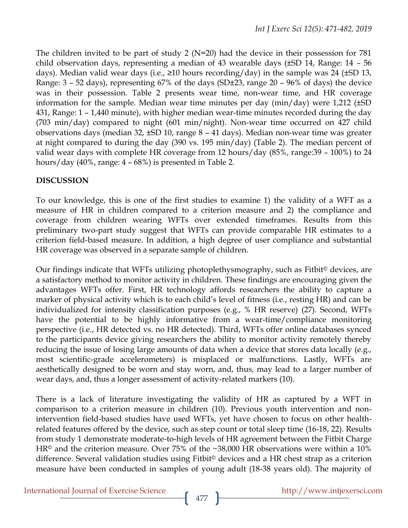The children invited to be part of study 2 (N=20) had the device in their possession for 781 child observation days, representing a median of 43 wearable days (±SD 14, Range: 14 – 56 days). Median valid wear days (i.e.,  $\geq$ 10 hours recording/day) in the sample was 24 ( $\pm$ SD 13, Range: 3 – 52 days), representing 67% of the days (SD±23, range 20 – 96% of days) the device was in their possession. Table 2 presents wear time, non-wear time, and HR coverage information for the sample. Median wear time minutes per day (min/day) were 1,212 (±SD 431, Range: 1 – 1,440 minute), with higher median wear-time minutes recorded during the day (703 min/day) compared to night (601 min/night). Non-wear time occurred on 427 child observations days (median 32, ±SD 10, range 8 – 41 days). Median non-wear time was greater at night compared to during the day (390 vs. 195 min/day) (Table 2). The median percent of valid wear days with complete HR coverage from 12 hours/day (85%, range:39 – 100%) to 24 hours/day (40%, range: 4 – 68%) is presented in Table 2.

# **DISCUSSION**

To our knowledge, this is one of the first studies to examine 1) the validity of a WFT as a measure of HR in children compared to a criterion measure and 2) the compliance and coverage from children wearing WFTs over extended timeframes. Results from this preliminary two-part study suggest that WFTs can provide comparable HR estimates to a criterion field-based measure. In addition, a high degree of user compliance and substantial HR coverage was observed in a separate sample of children.

Our findings indicate that WFTs utilizing photoplethysmography, such as Fitbit© devices, are a satisfactory method to monitor activity in children. These findings are encouraging given the advantages WFTs offer. First, HR technology affords researchers the ability to capture a marker of physical activity which is to each child's level of fitness (i.e., resting HR) and can be individualized for intensity classification purposes (e.g., % HR reserve) [\(27\)](#page-10-4). Second, WFTs have the potential to be highly informative from a wear-time/compliance monitoring perspective (i.e., HR detected vs. no HR detected). Third, WFTs offer online databases synced to the participants device giving researchers the ability to monitor activity remotely thereby reducing the issue of losing large amounts of data when a device that stores data locally (e.g., most scientific-grade accelerometers) is misplaced or malfunctions. Lastly, WFTs are aesthetically designed to be worn and stay worn, and, thus, may lead to a larger number of wear days, and, thus a longer assessment of activity-related markers [\(10\)](#page-9-3).

There is a lack of literature investigating the validity of HR as captured by a WFT in comparison to a criterion measure in children [\(10\)](#page-9-3). Previous youth intervention and nonintervention field-based studies have used WFTs, yet have chosen to focus on other healthrelated features offered by the device, such as step count or total sleep time [\(16-18,](#page-10-5) [22\)](#page-10-6). Results from study 1 demonstrate moderate-to-high levels of HR agreement between the Fitbit Charge HR<sup>©</sup> and the criterion measure. Over 75% of the  $\sim$ 38,000 HR observations were within a 10% difference. Several validation studies using Fitbit© devices and a HR chest strap as a criterion measure have been conducted in samples of young adult (18-38 years old). The majority of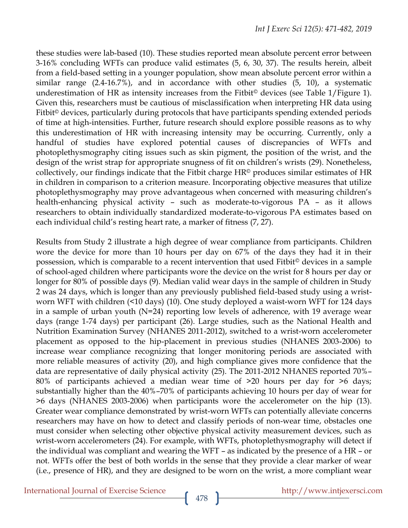these studies were lab-based [\(10\)](#page-9-3). These studies reported mean absolute percent error between 3-16% concluding WFTs can produce valid estimates [\(5,](#page-9-7) [6,](#page-9-1) [30,](#page-11-6) [37\)](#page-11-7). The results herein, albeit from a field-based setting in a younger population, show mean absolute percent error within a similar range (2.4-16.7%), and in accordance with other studies [\(5,](#page-9-7) [10\)](#page-9-3), a systematic underestimation of HR as intensity increases from the Fitbit<sup>®</sup> devices (see Table 1/Figure 1). Given this, researchers must be cautious of misclassification when interpreting HR data using Fitbit<sup>®</sup> devices, particularly during protocols that have participants spending extended periods of time at high-intensities. Further, future research should explore possible reasons as to why this underestimation of HR with increasing intensity may be occurring. Currently, only a handful of studies have explored potential causes of discrepancies of WFTs and photoplethysmography citing issues such as skin pigment, the position of the wrist, and the design of the wrist strap for appropriate snugness of fit on children's wrists [\(29\)](#page-11-8). Nonetheless, collectively, our findings indicate that the Fitbit charge HR© produces similar estimates of HR in children in comparison to a criterion measure. Incorporating objective measures that utilize photoplethysmography may prove advantageous when concerned with measuring children's health-enhancing physical activity – such as moderate-to-vigorous PA – as it allows researchers to obtain individually standardized moderate-to-vigorous PA estimates based on each individual child's resting heart rate, a marker of fitness [\(7,](#page-9-8) [27\)](#page-10-4).

Results from Study 2 illustrate a high degree of wear compliance from participants. Children wore the device for more than 10 hours per day on 67% of the days they had it in their possession, which is comparable to a recent intervention that used Fitbit© devices in a sample of school-aged children where participants wore the device on the wrist for 8 hours per day or longer for 80% of possible days [\(9\)](#page-9-9). Median valid wear days in the sample of children in Study 2 was 24 days, which is longer than any previously published field-based study using a wristworn WFT with children (<10 days) [\(10\)](#page-9-3). One study deployed a waist-worn WFT for 124 days in a sample of urban youth (N=24) reporting low levels of adherence, with 19 average wear days (range 1-74 days) per participant [\(26\)](#page-10-7). Large studies, such as the National Health and Nutrition Examination Survey (NHANES 2011-2012), switched to a wrist-worn accelerometer placement as opposed to the hip-placement in previous studies (NHANES 2003-2006) to increase wear compliance recognizing that longer monitoring periods are associated with more reliable measures of activity [\(20\)](#page-10-8), and high compliance gives more confidence that the data are representative of daily physical activity [\(25\)](#page-10-9). The 2011-2012 NHANES reported 70%– 80% of participants achieved a median wear time of >20 hours per day for >6 days; substantially higher than the 40%–70% of participants achieving 10 hours per day of wear for >6 days (NHANES 2003-2006) when participants wore the accelerometer on the hip [\(13\)](#page-10-10). Greater wear compliance demonstrated by wrist-worn WFTs can potentially alleviate concerns researchers may have on how to detect and classify periods of non-wear time, obstacles one must consider when selecting other objective physical activity measurement devices, such as wrist-worn accelerometers [\(24\)](#page-10-11). For example, with WFTs, photoplethysmography will detect if the individual was compliant and wearing the WFT – as indicated by the presence of a HR – or not. WFTs offer the best of both worlds in the sense that they provide a clear marker of wear (i.e., presence of HR), and they are designed to be worn on the wrist, a more compliant wear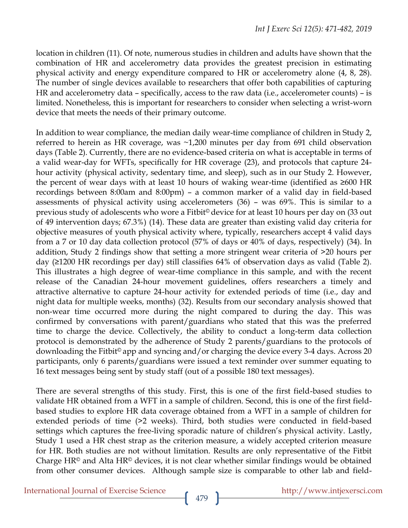location in children [\(11\)](#page-9-10). Of note, numerous studies in children and adults have shown that the combination of HR and accelerometry data provides the greatest precision in estimating physical activity and energy expenditure compared to HR or accelerometry alone [\(4,](#page-9-4) [8,](#page-9-5) [28\)](#page-11-9). The number of single devices available to researchers that offer both capabilities of capturing HR and accelerometry data – specifically, access to the raw data (i.e., accelerometer counts) – is limited. Nonetheless, this is important for researchers to consider when selecting a wrist-worn device that meets the needs of their primary outcome.

In addition to wear compliance, the median daily wear-time compliance of children in Study 2, referred to herein as HR coverage, was ~1,200 minutes per day from 691 child observation days (Table 2). Currently, there are no evidence-based criteria on what is acceptable in terms of a valid wear-day for WFTs, specifically for HR coverage [\(23\)](#page-10-12), and protocols that capture 24 hour activity (physical activity, sedentary time, and sleep), such as in our Study 2. However, the percent of wear days with at least 10 hours of waking wear-time (identified as ≥600 HR recordings between 8:00am and 8:00pm) – a common marker of a valid day in field-based assessments of physical activity using accelerometers [\(36\)](#page-11-2) – was 69%. This is similar to a previous study of adolescents who wore a Fitbit© device for at least 10 hours per day on (33 out of 49 intervention days; 67.3%) [\(14\)](#page-10-13). These data are greater than existing valid day criteria for objective measures of youth physical activity where, typically, researchers accept 4 valid days from a 7 or 10 day data collection protocol (57% of days or 40% of days, respectively) [\(34\)](#page-11-3). In addition, Study 2 findings show that setting a more stringent wear criteria of >20 hours per day (≥1200 HR recordings per day) still classifies 64% of observation days as valid (Table 2). This illustrates a high degree of wear-time compliance in this sample, and with the recent release of the Canadian 24-hour movement guidelines, offers researchers a timely and attractive alternative to capture 24-hour activity for extended periods of time (i.e., day and night data for multiple weeks, months) [\(32\)](#page-11-10). Results from our secondary analysis showed that non-wear time occurred more during the night compared to during the day. This was confirmed by conversations with parent/guardians who stated that this was the preferred time to charge the device. Collectively, the ability to conduct a long-term data collection protocol is demonstrated by the adherence of Study 2 parents/guardians to the protocols of downloading the Fitbit© app and syncing and/or charging the device every 3-4 days. Across 20 participants, only 6 parents/guardians were issued a text reminder over summer equating to 16 text messages being sent by study staff (out of a possible 180 text messages).

There are several strengths of this study. First, this is one of the first field-based studies to validate HR obtained from a WFT in a sample of children. Second, this is one of the first fieldbased studies to explore HR data coverage obtained from a WFT in a sample of children for extended periods of time (>2 weeks). Third, both studies were conducted in field-based settings which captures the free-living sporadic nature of children's physical activity. Lastly, Study 1 used a HR chest strap as the criterion measure, a widely accepted criterion measure for HR. Both studies are not without limitation. Results are only representative of the Fitbit Charge HR<sup>®</sup> and Alta HR<sup>®</sup> devices, it is not clear whether similar findings would be obtained from other consumer devices. Although sample size is comparable to other lab and field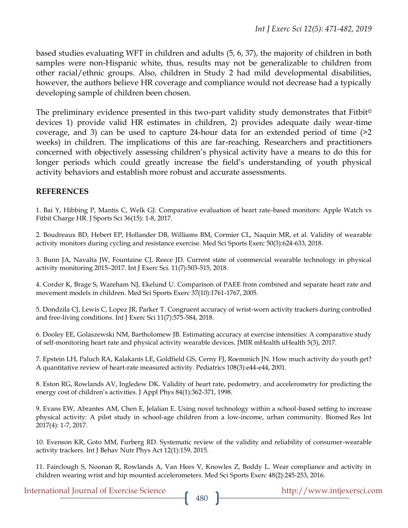based studies evaluating WFT in children and adults [\(5,](#page-9-7) [6,](#page-9-1) [37\)](#page-11-7), the majority of children in both samples were non-Hispanic white, thus, results may not be generalizable to children from other racial/ethnic groups. Also, children in Study 2 had mild developmental disabilities, however, the authors believe HR coverage and compliance would not decrease had a typically developing sample of children been chosen.

The preliminary evidence presented in this two-part validity study demonstrates that Fitbit© devices 1) provide valid HR estimates in children, 2) provides adequate daily wear-time coverage, and 3) can be used to capture 24-hour data for an extended period of time (>2 weeks) in children. The implications of this are far-reaching. Researchers and practitioners concerned with objectively assessing children's physical activity have a means to do this for longer periods which could greatly increase the field's understanding of youth physical activity behaviors and establish more robust and accurate assessments.

#### **REFERENCES**

<span id="page-9-0"></span>1. Bai Y, Hibbing P, Mantis C, Welk GJ. Comparative evaluation of heart rate-based monitors: Apple Watch vs Fitbit Charge HR. J Sports Sci 36(15): 1-8, 2017.

<span id="page-9-2"></span>2. Boudreaux BD, Hebert EP, Hollander DB, Williams BM, Cormier CL, Naquin MR, et al. Validity of wearable activity monitors during cycling and resistance exercise. Med Sci Sports Exerc 50(3):624-633, 2018.

<span id="page-9-6"></span>3. Bunn JA, Navalta JW, Fountaine CJ, Reece JD. Current state of commercial wearable technology in physical activity monitoring 2015–2017. Int J Exerc Sci. 11(7):503-515, 2018.

<span id="page-9-4"></span>4. Corder K, Brage S, Wareham NJ, Ekelund U. Comparison of PAEE from combined and separate heart rate and movement models in children. Med Sci Sports Exerc 37(10):1761-1767, 2005.

<span id="page-9-7"></span>5. Dondzila CJ, Lewis C, Lopez JR, Parker T. Congruent accuracy of wrist-worn activity trackers during controlled and free-living conditions. Int J Exerc Sci 11(7):575-584, 2018.

<span id="page-9-1"></span>6. Dooley EE, Golaszewski NM, Bartholomew JB. Estimating accuracy at exercise intensities: A comparative study of self-monitoring heart rate and physical activity wearable devices. JMIR mHealth uHealth 5(3), 2017.

<span id="page-9-8"></span>7. Epstein LH, Paluch RA, Kalakanis LE, Goldfield GS, Cerny FJ, Roemmich JN. How much activity do youth get? A quantitative review of heart-rate measured activity. Pediatrics 108(3):e44-e44, 2001.

<span id="page-9-5"></span>8. Eston RG, Rowlands AV, Ingledew DK. Validity of heart rate, pedometry, and accelerometry for predicting the energy cost of children's activities. J Appl Phys 84(1):362-371, 1998.

<span id="page-9-9"></span>9. Evans EW, Abrantes AM, Chen E, Jelalian E. Using novel technology within a school-based setting to increase physical activity: A pilot study in school-age children from a low-income, urban community. Biomed Res Int 2017(4): 1-7, 2017.

<span id="page-9-3"></span>10. Evenson KR, Goto MM, Furberg RD. Systematic review of the validity and reliability of consumer-wearable activity trackers. Int J Behav Nutr Phys Act 12(1):159, 2015.

<span id="page-9-10"></span>11. Fairclough S, Noonan R, Rowlands A, Van Hees V, Knowles Z, Boddy L. Wear compliance and activity in children wearing wrist and hip mounted accelerometers. Med Sci Sports Exerc 48(2):245-253, 2016.

International Journal of Exercise Science http://www.intjexersci.com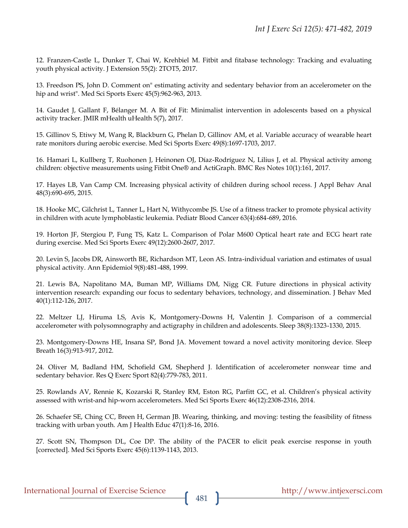<span id="page-10-3"></span>12. Franzen-Castle L, Dunker T, Chai W, Krehbiel M. Fitbit and fitabase technology: Tracking and evaluating youth physical activity. J Extension 55(2): 2TOT5, 2017.

<span id="page-10-10"></span>13. Freedson PS, John D. Comment on" estimating activity and sedentary behavior from an accelerometer on the hip and wrist". Med Sci Sports Exerc 45(5):962-963, 2013.

<span id="page-10-13"></span>14. Gaudet J, Gallant F, Bélanger M. A Bit of Fit: Minimalist intervention in adolescents based on a physical activity tracker. JMIR mHealth uHealth 5(7), 2017.

<span id="page-10-0"></span>15. Gillinov S, Etiwy M, Wang R, Blackburn G, Phelan D, Gillinov AM, et al. Variable accuracy of wearable heart rate monitors during aerobic exercise. Med Sci Sports Exerc 49(8):1697-1703, 2017.

<span id="page-10-5"></span>16. Hamari L, Kullberg T, Ruohonen J, Heinonen OJ, Díaz-Rodríguez N, Lilius J, et al. Physical activity among children: objective measurements using Fitbit One® and ActiGraph. BMC Res Notes 10(1):161, 2017.

17. Hayes LB, Van Camp CM. Increasing physical activity of children during school recess. J Appl Behav Anal 48(3):690-695, 2015.

18. Hooke MC, Gilchrist L, Tanner L, Hart N, Withycombe JS. Use of a fitness tracker to promote physical activity in children with acute lymphoblastic leukemia. Pediatr Blood Cancer 63(4):684-689, 2016.

<span id="page-10-1"></span>19. Horton JF, Stergiou P, Fung TS, Katz L. Comparison of Polar M600 Optical heart rate and ECG heart rate during exercise. Med Sci Sports Exerc 49(12):2600-2607, 2017.

<span id="page-10-8"></span>20. Levin S, Jacobs DR, Ainsworth BE, Richardson MT, Leon AS. Intra-individual variation and estimates of usual physical activity. Ann Epidemiol 9(8):481-488, 1999.

<span id="page-10-2"></span>21. Lewis BA, Napolitano MA, Buman MP, Williams DM, Nigg CR. Future directions in physical activity intervention research: expanding our focus to sedentary behaviors, technology, and dissemination. J Behav Med 40(1):112-126, 2017.

<span id="page-10-6"></span>22. Meltzer LJ, Hiruma LS, Avis K, Montgomery-Downs H, Valentin J. Comparison of a commercial accelerometer with polysomnography and actigraphy in children and adolescents. Sleep 38(8):1323-1330, 2015.

<span id="page-10-12"></span>23. Montgomery-Downs HE, Insana SP, Bond JA. Movement toward a novel activity monitoring device. Sleep Breath 16(3):913-917, 2012.

<span id="page-10-11"></span>24. Oliver M, Badland HM, Schofield GM, Shepherd J. Identification of accelerometer nonwear time and sedentary behavior. Res Q Exerc Sport 82(4):779-783, 2011.

<span id="page-10-9"></span>25. Rowlands AV, Rennie K, Kozarski R, Stanley RM, Eston RG, Parfitt GC, et al. Children's physical activity assessed with wrist-and hip-worn accelerometers. Med Sci Sports Exerc 46(12):2308-2316, 2014.

<span id="page-10-7"></span>26. Schaefer SE, Ching CC, Breen H, German JB. Wearing, thinking, and moving: testing the feasibility of fitness tracking with urban youth. Am J Health Educ 47(1):8-16, 2016.

<span id="page-10-4"></span>27. Scott SN, Thompson DL, Coe DP. The ability of the PACER to elicit peak exercise response in youth [corrected]. Med Sci Sports Exerc 45(6):1139-1143, 2013.